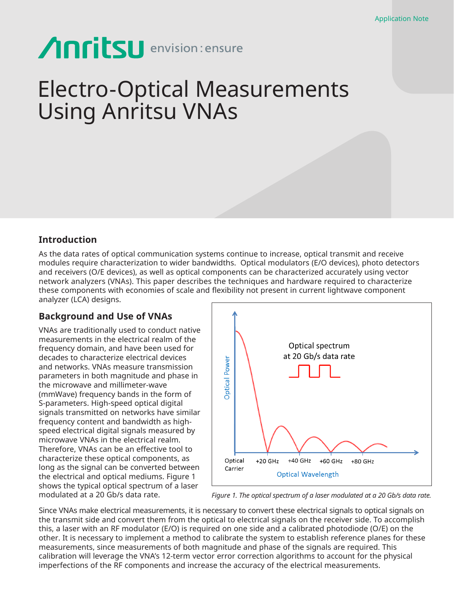# Anritsu envision: ensure

## Electro-Optical Measurements Using Anritsu VNAs

## **Introduction**

As the data rates of optical communication systems continue to increase, optical transmit and receive modules require characterization to wider bandwidths. Optical modulators (E/O devices), photo detectors and receivers (O/E devices), as well as optical components can be characterized accurately using vector network analyzers (VNAs). This paper describes the techniques and hardware required to characterize these components with economies of scale and flexibility not present in current lightwave component analyzer (LCA) designs.

## **Background and Use of VNAs**

VNAs are traditionally used to conduct native measurements in the electrical realm of the frequency domain, and have been used for decades to characterize electrical devices and networks. VNAs measure transmission parameters in both magnitude and phase in the microwave and millimeter-wave (mmWave) frequency bands in the form of S-parameters. High-speed optical digital signals transmitted on networks have similar frequency content and bandwidth as highspeed electrical digital signals measured by microwave VNAs in the electrical realm. Therefore, VNAs can be an effective tool to characterize these optical components, as long as the signal can be converted between the electrical and optical mediums. Figure 1 shows the typical optical spectrum of a laser modulated at a 20 Gb/s data rate.



*Figure 1. The optical spectrum of a laser modulated at a 20 Gb/s data rate.*

Since VNAs make electrical measurements, it is necessary to convert these electrical signals to optical signals on the transmit side and convert them from the optical to electrical signals on the receiver side. To accomplish this, a laser with an RF modulator (E/O) is required on one side and a calibrated photodiode (O/E) on the other. It is necessary to implement a method to calibrate the system to establish reference planes for these measurements, since measurements of both magnitude and phase of the signals are required. This calibration will leverage the VNA's 12-term vector error correction algorithms to account for the physical imperfections of the RF components and increase the accuracy of the electrical measurements.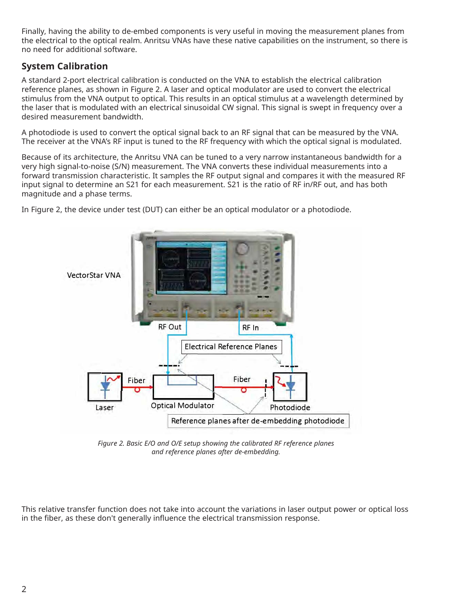Finally, having the ability to de-embed components is very useful in moving the measurement planes from the electrical to the optical realm. Anritsu VNAs have these native capabilities on the instrument, so there is no need for additional software.

## **System Calibration**

A standard 2-port electrical calibration is conducted on the VNA to establish the electrical calibration reference planes, as shown in Figure 2. A laser and optical modulator are used to convert the electrical stimulus from the VNA output to optical. This results in an optical stimulus at a wavelength determined by the laser that is modulated with an electrical sinusoidal CW signal. This signal is swept in frequency over a desired measurement bandwidth.

A photodiode is used to convert the optical signal back to an RF signal that can be measured by the VNA. The receiver at the VNA's RF input is tuned to the RF frequency with which the optical signal is modulated.

Because of its architecture, the Anritsu VNA can be tuned to a very narrow instantaneous bandwidth for a very high signal-to-noise (S/N) measurement. The VNA converts these individual measurements into a forward transmission characteristic. It samples the RF output signal and compares it with the measured RF input signal to determine an S21 for each measurement. S21 is the ratio of RF in/RF out, and has both magnitude and a phase terms.

In Figure 2, the device under test (DUT) can either be an optical modulator or a photodiode.



*Figure 2. Basic E/O and O/E setup showing the calibrated RF reference planes and reference planes after de-embedding.*

This relative transfer function does not take into account the variations in laser output power or optical loss in the fiber, as these don't generally influence the electrical transmission response.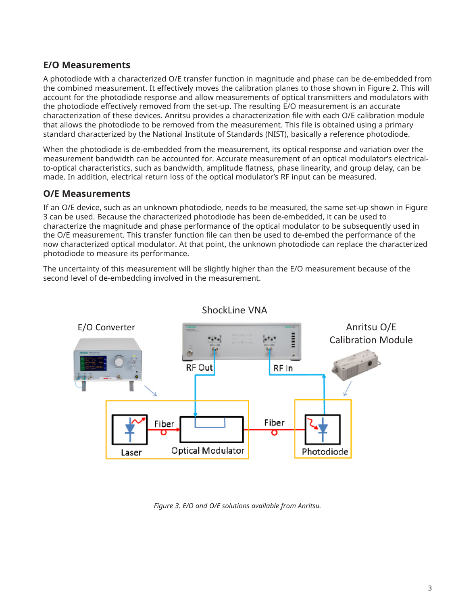## **E/O Measurements**

A photodiode with a characterized O/E transfer function in magnitude and phase can be de-embedded from the combined measurement. It effectively moves the calibration planes to those shown in Figure 2. This will account for the photodiode response and allow measurements of optical transmitters and modulators with the photodiode effectively removed from the set-up. The resulting E/O measurement is an accurate characterization of these devices. Anritsu provides a characterization file with each O/E calibration module that allows the photodiode to be removed from the measurement. This file is obtained using a primary standard characterized by the National Institute of Standards (NIST), basically a reference photodiode.

When the photodiode is de-embedded from the measurement, its optical response and variation over the measurement bandwidth can be accounted for. Accurate measurement of an optical modulator's electricalto-optical characteristics, such as bandwidth, amplitude flatness, phase linearity, and group delay, can be made. In addition, electrical return loss of the optical modulator's RF input can be measured.

## **O/E Measurements**

If an O/E device, such as an unknown photodiode, needs to be measured, the same set-up shown in Figure 3 can be used. Because the characterized photodiode has been de-embedded, it can be used to characterize the magnitude and phase performance of the optical modulator to be subsequently used in the O/E measurement. This transfer function file can then be used to de-embed the performance of the now characterized optical modulator. At that point, the unknown photodiode can replace the characterized photodiode to measure its performance.

The uncertainty of this measurement will be slightly higher than the E/O measurement because of the second level of de-embedding involved in the measurement.



*Figure 3. E/O and O/E solutions available from Anritsu.*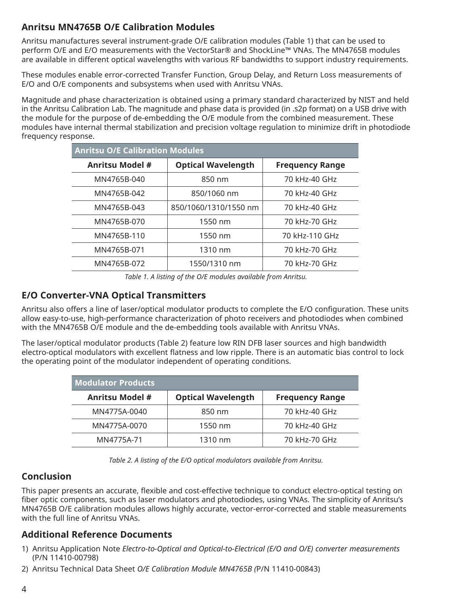## **Anritsu MN4765B O/E Calibration Modules**

Anritsu manufactures several instrument-grade O/E calibration modules (Table 1) that can be used to perform O/E and E/O measurements with the VectorStar® and ShockLine™ VNAs. The MN4765B modules are available in different optical wavelengths with various RF bandwidths to support industry requirements.

These modules enable error-corrected Transfer Function, Group Delay, and Return Loss measurements of E/O and O/E components and subsystems when used with Anritsu VNAs.

Magnitude and phase characterization is obtained using a primary standard characterized by NIST and held in the Anritsu Calibration Lab. The magnitude and phase data is provided (in .s2p format) on a USB drive with the module for the purpose of de-embedding the O/E module from the combined measurement. These modules have internal thermal stabilization and precision voltage regulation to minimize drift in photodiode frequency response.

| <b>Anritsu O/E Calibration Modules</b> |                           |                        |  |
|----------------------------------------|---------------------------|------------------------|--|
| <b>Anritsu Model #</b>                 | <b>Optical Wavelength</b> | <b>Frequency Range</b> |  |
| MN4765B-040                            | 850 nm                    | 70 kHz-40 GHz          |  |
| MN4765B-042                            | 850/1060 nm               | 70 kHz-40 GHz          |  |
| MN4765B-043                            | 850/1060/1310/1550 nm     | 70 kHz-40 GHz          |  |
| MN4765B-070                            | 1550 nm                   | 70 kHz-70 GHz          |  |
| MN4765B-110                            | 1550 nm                   | 70 kHz-110 GHz         |  |
| MN4765B-071                            | 1310 nm                   | 70 kHz-70 GHz          |  |
| MN4765B-072                            | 1550/1310 nm              | 70 kHz-70 GHz          |  |

*Table 1. A listing of the O/E modules available from Anritsu.*

## **E/O Converter-VNA Optical Transmitters**

Anritsu also offers a line of laser/optical modulator products to complete the E/O configuration. These units allow easy-to-use, high-performance characterization of photo receivers and photodiodes when combined with the MN4765B O/E module and the de-embedding tools available with Anritsu VNAs.

The laser/optical modulator products (Table 2) feature low RIN DFB laser sources and high bandwidth electro-optical modulators with excellent flatness and low ripple. There is an automatic bias control to lock the operating point of the modulator independent of operating conditions.

| <b>Modulator Products</b> |                           |                        |  |
|---------------------------|---------------------------|------------------------|--|
| <b>Anritsu Model #</b>    | <b>Optical Wavelength</b> | <b>Frequency Range</b> |  |
| MN4775A-0040              | 850 nm                    | 70 kHz-40 GHz          |  |
| MN4775A-0070              | 1550 nm                   | 70 kHz-40 GHz          |  |
| MN4775A-71                | 1310 nm                   | 70 kHz-70 GHz          |  |

*Table 2. A listing of the E/O optical modulators available from Anritsu.*

## **Conclusion**

This paper presents an accurate, flexible and cost-effective technique to conduct electro-optical testing on fiber optic components, such as laser modulators and photodiodes, using VNAs. The simplicity of Anritsu's MN4765B O/E calibration modules allows highly accurate, vector-error-corrected and stable measurements with the full line of Anritsu VNAs.

## **Additional Reference Documents**

- 1) Anritsu Application Note *Electro-to-Optical and Optical-to-Electrical (E/O and O/E) converter measurements*  (P/N 11410-00798)
- 2) Anritsu Technical Data Sheet *O/E Calibration Module MN4765B (*P/N 11410-00843)